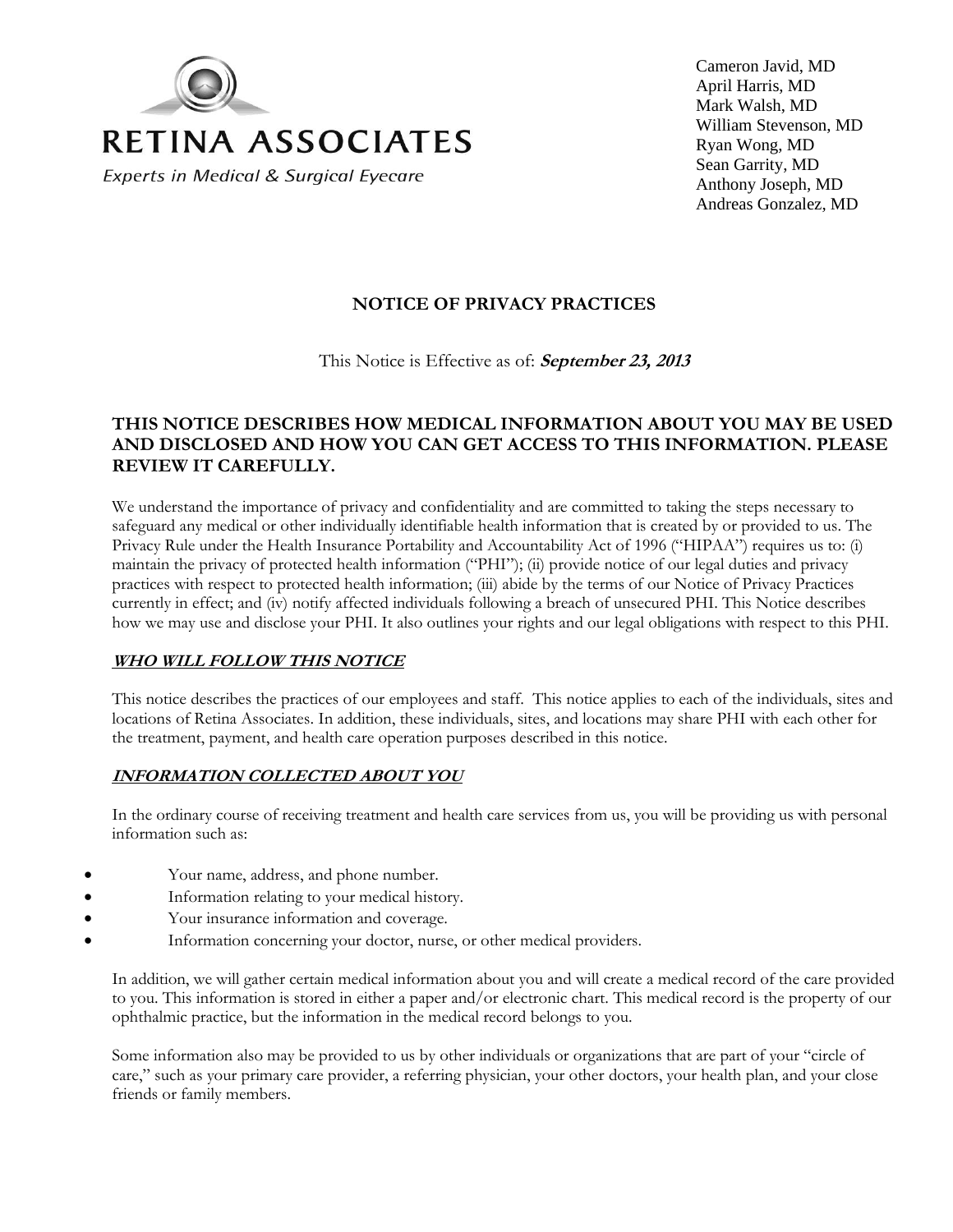

Cameron Javid, MD April Harris, MD Mark Walsh, MD William Stevenson, MD Ryan Wong, MD Sean Garrity, MD Anthony Joseph, MD Andreas Gonzalez, MD

# **NOTICE OF PRIVACY PRACTICES**

This Notice is Effective as of: **September 23, 2013**

# **THIS NOTICE DESCRIBES HOW MEDICAL INFORMATION ABOUT YOU MAY BE USED AND DISCLOSED AND HOW YOU CAN GET ACCESS TO THIS INFORMATION. PLEASE REVIEW IT CAREFULLY.**

We understand the importance of privacy and confidentiality and are committed to taking the steps necessary to safeguard any medical or other individually identifiable health information that is created by or provided to us. The Privacy Rule under the Health Insurance Portability and Accountability Act of 1996 ("HIPAA") requires us to: (i) maintain the privacy of protected health information ("PHI"); (ii) provide notice of our legal duties and privacy practices with respect to protected health information; (iii) abide by the terms of our Notice of Privacy Practices currently in effect; and (iv) notify affected individuals following a breach of unsecured PHI. This Notice describes how we may use and disclose your PHI. It also outlines your rights and our legal obligations with respect to this PHI.

#### **WHO WILL FOLLOW THIS NOTICE**

This notice describes the practices of our employees and staff. This notice applies to each of the individuals, sites and locations of Retina Associates. In addition, these individuals, sites, and locations may share PHI with each other for the treatment, payment, and health care operation purposes described in this notice.

### **INFORMATION COLLECTED ABOUT YOU**

In the ordinary course of receiving treatment and health care services from us, you will be providing us with personal information such as:

- Your name, address, and phone number.
- Information relating to your medical history.
- Your insurance information and coverage.
- Information concerning your doctor, nurse, or other medical providers.

In addition, we will gather certain medical information about you and will create a medical record of the care provided to you. This information is stored in either a paper and/or electronic chart. This medical record is the property of our ophthalmic practice, but the information in the medical record belongs to you.

Some information also may be provided to us by other individuals or organizations that are part of your "circle of care," such as your primary care provider, a referring physician, your other doctors, your health plan, and your close friends or family members.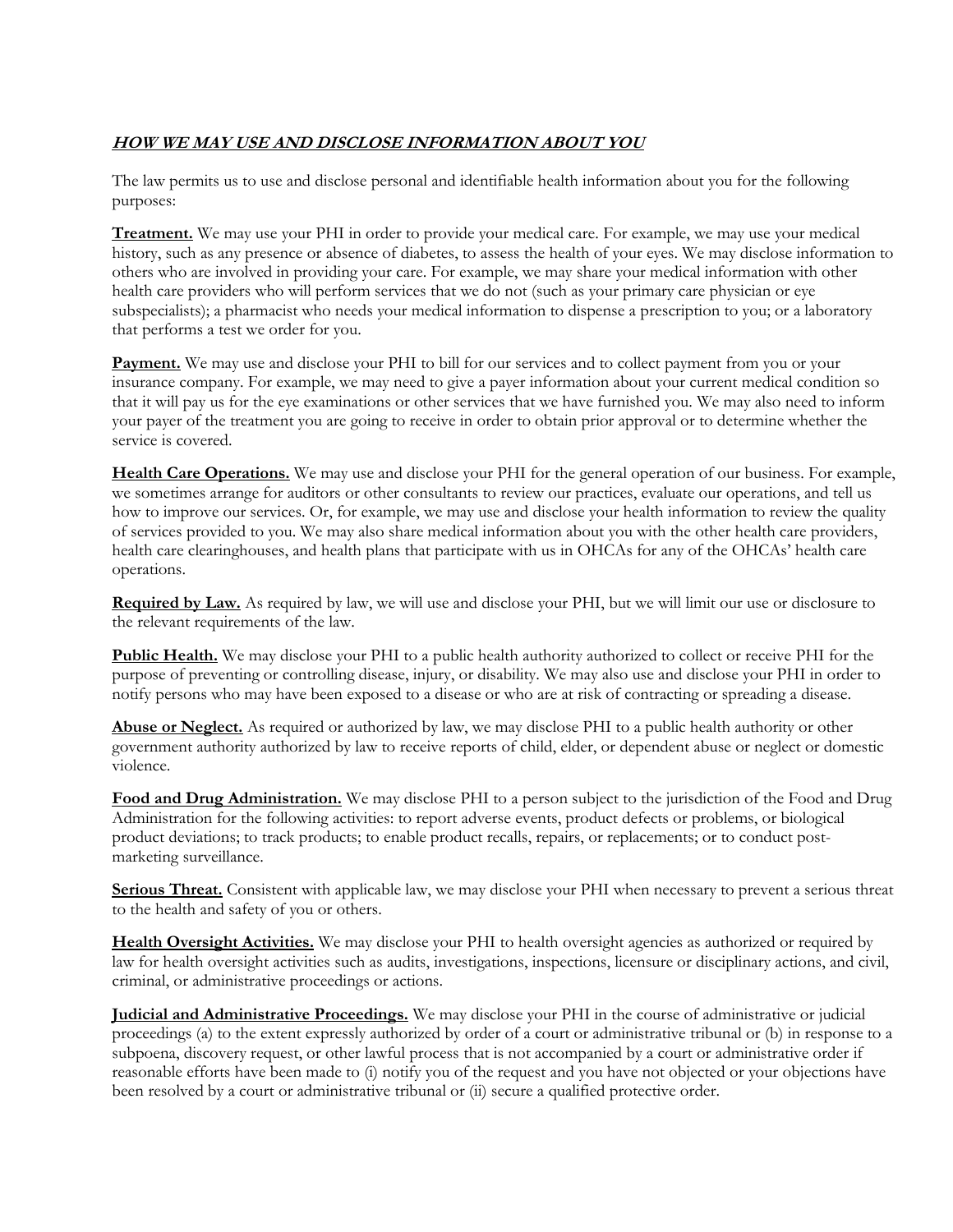# **HOW WE MAY USE AND DISCLOSE INFORMATION ABOUT YOU**

The law permits us to use and disclose personal and identifiable health information about you for the following purposes:

**Treatment.** We may use your PHI in order to provide your medical care. For example, we may use your medical history, such as any presence or absence of diabetes, to assess the health of your eyes. We may disclose information to others who are involved in providing your care. For example, we may share your medical information with other health care providers who will perform services that we do not (such as your primary care physician or eye subspecialists); a pharmacist who needs your medical information to dispense a prescription to you; or a laboratory that performs a test we order for you.

**Payment.** We may use and disclose your PHI to bill for our services and to collect payment from you or your insurance company. For example, we may need to give a payer information about your current medical condition so that it will pay us for the eye examinations or other services that we have furnished you. We may also need to inform your payer of the treatment you are going to receive in order to obtain prior approval or to determine whether the service is covered.

**Health Care Operations.** We may use and disclose your PHI for the general operation of our business. For example, we sometimes arrange for auditors or other consultants to review our practices, evaluate our operations, and tell us how to improve our services. Or, for example, we may use and disclose your health information to review the quality of services provided to you. We may also share medical information about you with the other health care providers, health care clearinghouses, and health plans that participate with us in OHCAs for any of the OHCAs' health care operations.

**Required by Law.** As required by law, we will use and disclose your PHI, but we will limit our use or disclosure to the relevant requirements of the law.

**Public Health.** We may disclose your PHI to a public health authority authorized to collect or receive PHI for the purpose of preventing or controlling disease, injury, or disability. We may also use and disclose your PHI in order to notify persons who may have been exposed to a disease or who are at risk of contracting or spreading a disease.

**Abuse or Neglect.** As required or authorized by law, we may disclose PHI to a public health authority or other government authority authorized by law to receive reports of child, elder, or dependent abuse or neglect or domestic violence.

**Food and Drug Administration.** We may disclose PHI to a person subject to the jurisdiction of the Food and Drug Administration for the following activities: to report adverse events, product defects or problems, or biological product deviations; to track products; to enable product recalls, repairs, or replacements; or to conduct postmarketing surveillance.

**Serious Threat.** Consistent with applicable law, we may disclose your PHI when necessary to prevent a serious threat to the health and safety of you or others.

**Health Oversight Activities.** We may disclose your PHI to health oversight agencies as authorized or required by law for health oversight activities such as audits, investigations, inspections, licensure or disciplinary actions, and civil, criminal, or administrative proceedings or actions.

**Judicial and Administrative Proceedings.** We may disclose your PHI in the course of administrative or judicial proceedings (a) to the extent expressly authorized by order of a court or administrative tribunal or (b) in response to a subpoena, discovery request, or other lawful process that is not accompanied by a court or administrative order if reasonable efforts have been made to (i) notify you of the request and you have not objected or your objections have been resolved by a court or administrative tribunal or (ii) secure a qualified protective order.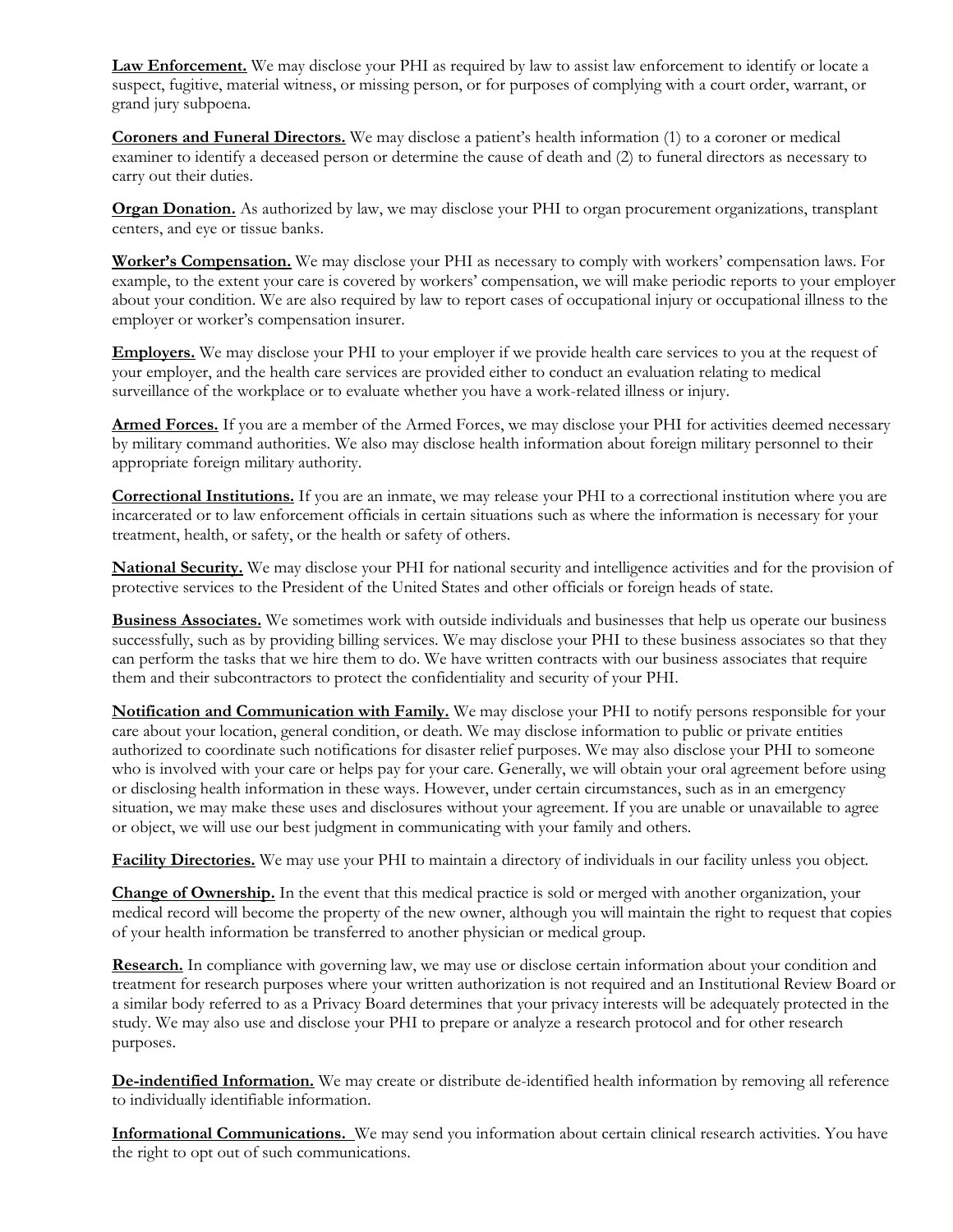**Law Enforcement.** We may disclose your PHI as required by law to assist law enforcement to identify or locate a suspect, fugitive, material witness, or missing person, or for purposes of complying with a court order, warrant, or grand jury subpoena.

**Coroners and Funeral Directors.** We may disclose a patient's health information (1) to a coroner or medical examiner to identify a deceased person or determine the cause of death and (2) to funeral directors as necessary to carry out their duties.

**Organ Donation.** As authorized by law, we may disclose your PHI to organ procurement organizations, transplant centers, and eye or tissue banks.

**Worker's Compensation.** We may disclose your PHI as necessary to comply with workers' compensation laws. For example, to the extent your care is covered by workers' compensation, we will make periodic reports to your employer about your condition. We are also required by law to report cases of occupational injury or occupational illness to the employer or worker's compensation insurer.

**Employers.** We may disclose your PHI to your employer if we provide health care services to you at the request of your employer, and the health care services are provided either to conduct an evaluation relating to medical surveillance of the workplace or to evaluate whether you have a work-related illness or injury.

**Armed Forces.** If you are a member of the Armed Forces, we may disclose your PHI for activities deemed necessary by military command authorities. We also may disclose health information about foreign military personnel to their appropriate foreign military authority.

**Correctional Institutions.** If you are an inmate, we may release your PHI to a correctional institution where you are incarcerated or to law enforcement officials in certain situations such as where the information is necessary for your treatment, health, or safety, or the health or safety of others.

**National Security.** We may disclose your PHI for national security and intelligence activities and for the provision of protective services to the President of the United States and other officials or foreign heads of state.

**Business Associates.** We sometimes work with outside individuals and businesses that help us operate our business successfully, such as by providing billing services. We may disclose your PHI to these business associates so that they can perform the tasks that we hire them to do. We have written contracts with our business associates that require them and their subcontractors to protect the confidentiality and security of your PHI.

**Notification and Communication with Family.** We may disclose your PHI to notify persons responsible for your care about your location, general condition, or death. We may disclose information to public or private entities authorized to coordinate such notifications for disaster relief purposes. We may also disclose your PHI to someone who is involved with your care or helps pay for your care. Generally, we will obtain your oral agreement before using or disclosing health information in these ways. However, under certain circumstances, such as in an emergency situation, we may make these uses and disclosures without your agreement. If you are unable or unavailable to agree or object, we will use our best judgment in communicating with your family and others.

**Facility Directories.** We may use your PHI to maintain a directory of individuals in our facility unless you object.

**Change of Ownership.** In the event that this medical practice is sold or merged with another organization, your medical record will become the property of the new owner, although you will maintain the right to request that copies of your health information be transferred to another physician or medical group.

**Research.** In compliance with governing law, we may use or disclose certain information about your condition and treatment for research purposes where your written authorization is not required and an Institutional Review Board or a similar body referred to as a Privacy Board determines that your privacy interests will be adequately protected in the study. We may also use and disclose your PHI to prepare or analyze a research protocol and for other research purposes.

**De-indentified Information.** We may create or distribute de-identified health information by removing all reference to individually identifiable information.

**Informational Communications.** We may send you information about certain clinical research activities. You have the right to opt out of such communications.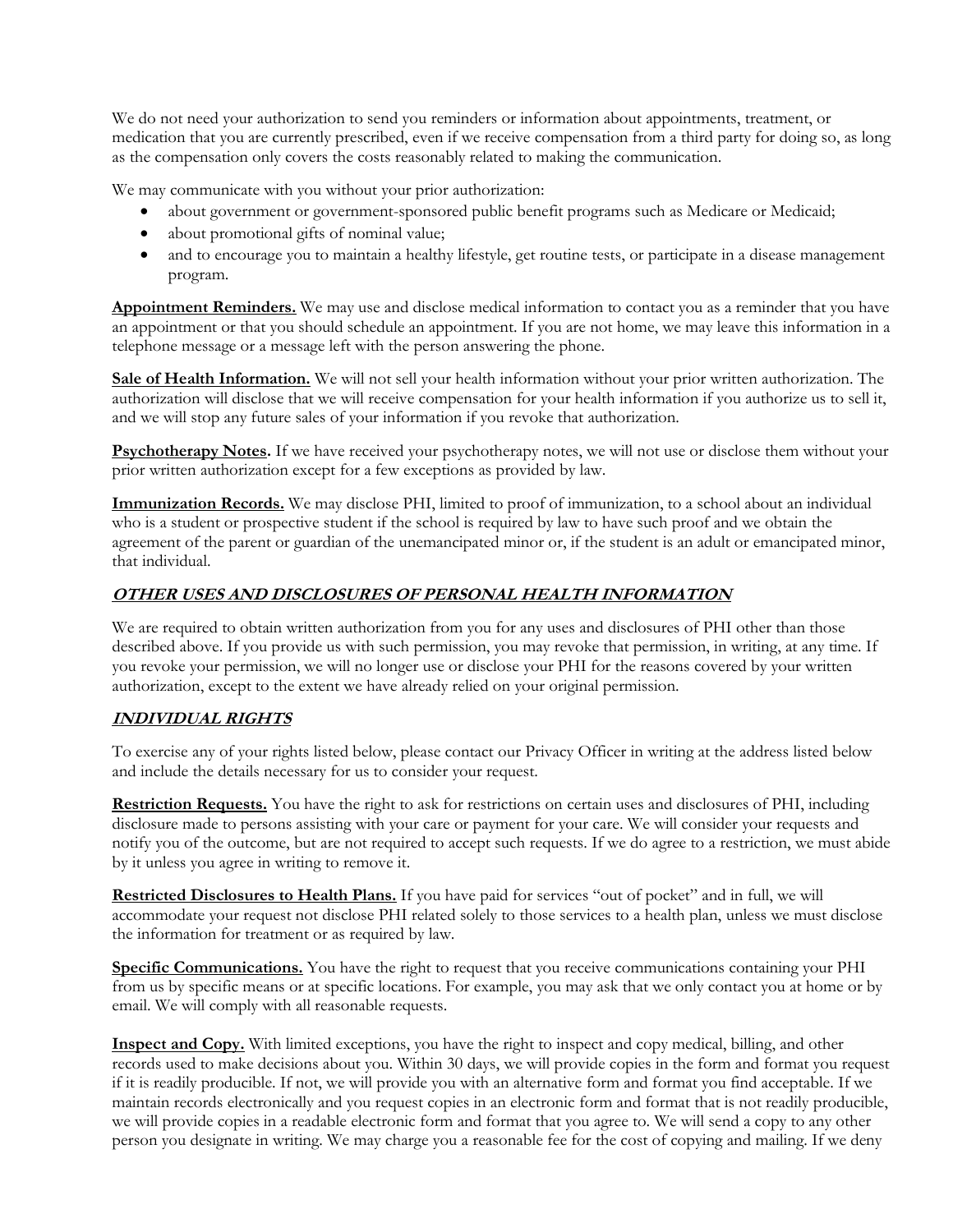We do not need your authorization to send you reminders or information about appointments, treatment, or medication that you are currently prescribed, even if we receive compensation from a third party for doing so, as long as the compensation only covers the costs reasonably related to making the communication.

We may communicate with you without your prior authorization:

- about government or government-sponsored public benefit programs such as Medicare or Medicaid;
- about promotional gifts of nominal value;
- and to encourage you to maintain a healthy lifestyle, get routine tests, or participate in a disease management program.

**Appointment Reminders.** We may use and disclose medical information to contact you as a reminder that you have an appointment or that you should schedule an appointment. If you are not home, we may leave this information in a telephone message or a message left with the person answering the phone.

**Sale of Health Information.** We will not sell your health information without your prior written authorization. The authorization will disclose that we will receive compensation for your health information if you authorize us to sell it, and we will stop any future sales of your information if you revoke that authorization.

**Psychotherapy Notes.** If we have received your psychotherapy notes, we will not use or disclose them without your prior written authorization except for a few exceptions as provided by law.

**Immunization Records.** We may disclose PHI, limited to proof of immunization, to a school about an individual who is a student or prospective student if the school is required by law to have such proof and we obtain the agreement of the parent or guardian of the unemancipated minor or, if the student is an adult or emancipated minor, that individual.

## **OTHER USES AND DISCLOSURES OF PERSONAL HEALTH INFORMATION**

We are required to obtain written authorization from you for any uses and disclosures of PHI other than those described above. If you provide us with such permission, you may revoke that permission, in writing, at any time. If you revoke your permission, we will no longer use or disclose your PHI for the reasons covered by your written authorization, except to the extent we have already relied on your original permission.

### **INDIVIDUAL RIGHTS**

To exercise any of your rights listed below, please contact our Privacy Officer in writing at the address listed below and include the details necessary for us to consider your request.

**Restriction Requests.** You have the right to ask for restrictions on certain uses and disclosures of PHI, including disclosure made to persons assisting with your care or payment for your care. We will consider your requests and notify you of the outcome, but are not required to accept such requests. If we do agree to a restriction, we must abide by it unless you agree in writing to remove it.

**Restricted Disclosures to Health Plans.** If you have paid for services "out of pocket" and in full, we will accommodate your request not disclose PHI related solely to those services to a health plan, unless we must disclose the information for treatment or as required by law.

**Specific Communications.** You have the right to request that you receive communications containing your PHI from us by specific means or at specific locations. For example, you may ask that we only contact you at home or by email. We will comply with all reasonable requests.

**Inspect and Copy.** With limited exceptions, you have the right to inspect and copy medical, billing, and other records used to make decisions about you. Within 30 days, we will provide copies in the form and format you request if it is readily producible. If not, we will provide you with an alternative form and format you find acceptable. If we maintain records electronically and you request copies in an electronic form and format that is not readily producible, we will provide copies in a readable electronic form and format that you agree to. We will send a copy to any other person you designate in writing. We may charge you a reasonable fee for the cost of copying and mailing. If we deny